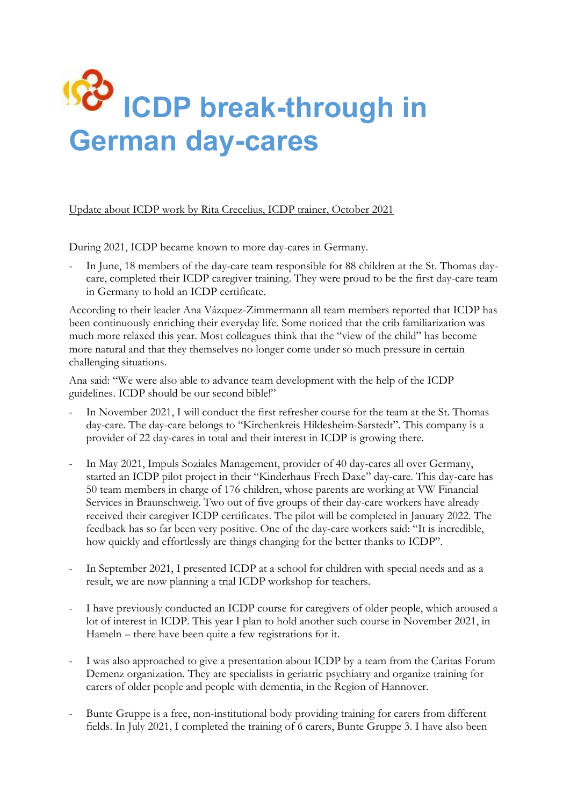## **ICDP break-through in German day-cares**

Update about ICDP work by Rita Crecelius, ICDP trainer, October 2021

During 2021, ICDP became known to more day-cares in Germany.

In June, 18 members of the day-care team responsible for 88 children at the St. Thomas daycare, completed their ICDP caregiver training. They were proud to be the first day-care team in Germany to hold an ICDP certificate.

According to their leader Ana Vázquez-Zimmermann all team members reported that ICDP has been continuously enriching their everyday life. Some noticed that the crib familiarization was much more relaxed this year. Most colleagues think that the "view of the child" has become more natural and that they themselves no longer come under so much pressure in certain challenging situations.

Ana said: "We were also able to advance team development with the help of the ICDP guidelines. ICDP should be our second bible!"

- In November 2021, I will conduct the first refresher course for the team at the St. Thomas day-care. The day-care belongs to "Kirchenkreis Hildesheim-Sarstedt". This company is a provider of 22 day-cares in total and their interest in ICDP is growing there.
- In May 2021, Impuls Soziales Management, provider of 40 day-cares all over Germany, started an ICDP pilot project in their "Kinderhaus Frech Daxe" day-care. This day-care has 50 team members in charge of 176 children, whose parents are working at VW Financial Services in Braunschweig. Two out of five groups of their day-care workers have already received their caregiver ICDP certificates. The pilot will be completed in January 2022. The feedback has so far been very positive. One of the day-care workers said: "It is incredible, how quickly and effortlessly are things changing for the better thanks to ICDP".
- In September 2021, I presented ICDP at a school for children with special needs and as a result, we are now planning a trial ICDP workshop for teachers.
- I have previously conducted an ICDP course for caregivers of older people, which aroused a lot of interest in ICDP. This year I plan to hold another such course in November 2021, in Hameln – there have been quite a few registrations for it.
- I was also approached to give a presentation about ICDP by a team from the Caritas Forum Demenz organization. They are specialists in geriatric psychiatry and organize training for carers of older people and people with dementia, in the Region of Hannover.
- Bunte Gruppe is a free, non-institutional body providing training for carers from different fields. In July 2021, I completed the training of 6 carers, Bunte Gruppe 3. I have also been